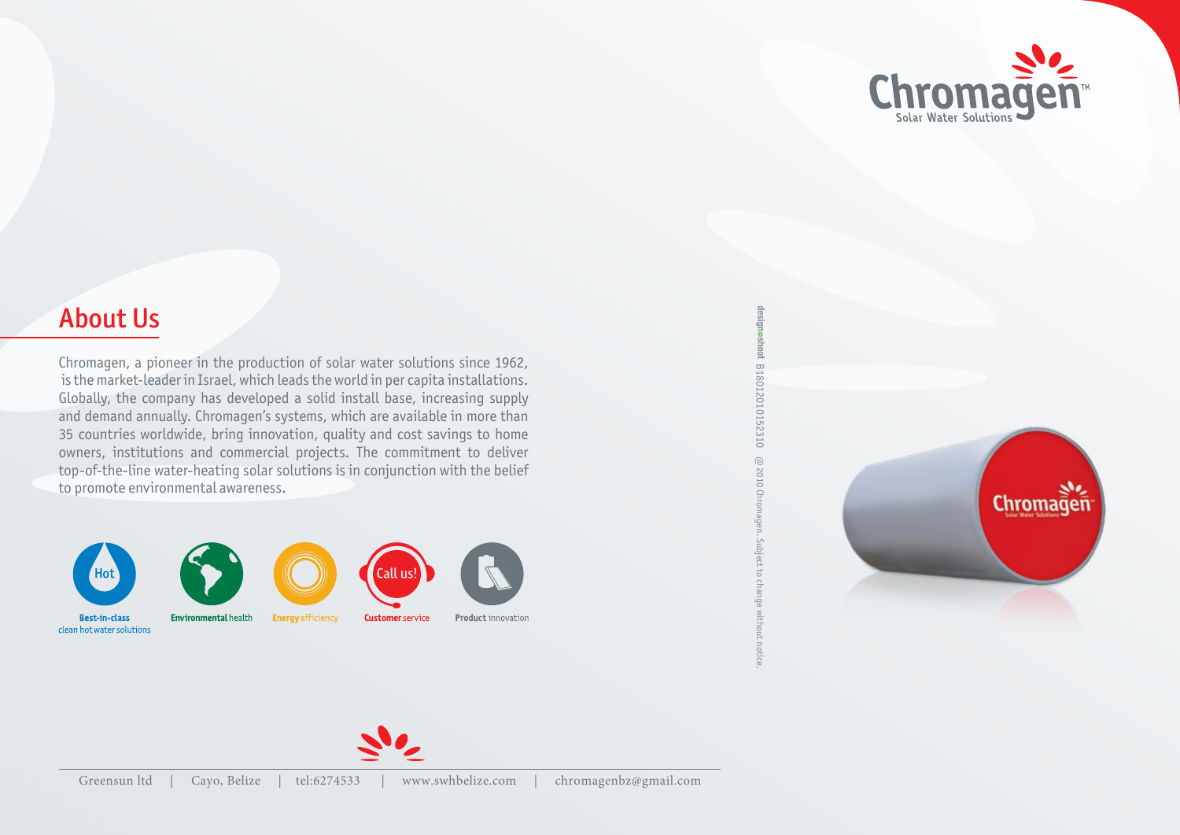

## **About Us**

Chromagen, a pioneer in the production of solar water solutions since 1962, is the market-leader in Israel, which leads the world in per capita installations. Globally, the company has developed a solid install base, increasing supply and demand annually. Chromagen's systems, which are available in more than 35 countries worldwide, bring innovation, quality and cost savings to home owners, institutions and commercial projects. The commitment to deliver top-of-the-line water-heating solar solutions is in conjunction with the belief to promote environmental awareness.











**Product** innovation

designoshoot B18012010152310 18012010152310B@ 2010 Chromagen. Subject to change  $\varpi$  2010 Chromagen. Subject to change without notice. without notice